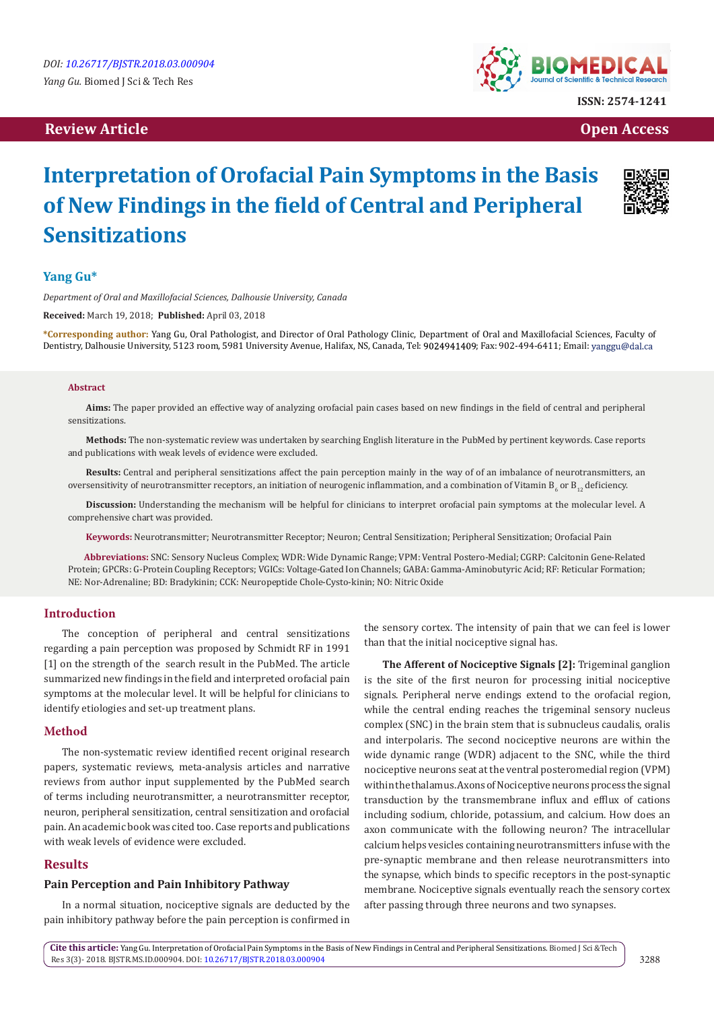# **Review Article Contract Contract Contract Contract Contract Contract Contract Contract Contract Contract Contract Contract Contract Contract Contract Contract Contract Contract Contract Contract Contract Contract Contract**



# **Interpretation of Orofacial Pain Symptoms in the Basis of New Findings in the field of Central and Peripheral Sensitizations**

# **Yang Gu\***

*Department of Oral and Maxillofacial Sciences, Dalhousie University, Canada*

**Received:** March 19, 2018; **Published:** April 03, 2018

**\*Corresponding author:** Yang Gu, Oral Pathologist, and Director of Oral Pathology Clinic, Department of Oral and Maxillofacial Sciences, Faculty of Dentistry, Dalhousie University, 5123 room, 5981 University Avenue, Halifax, NS, Canada, Tel: 9024941409; Fax: 902-494-6411; Email: yanggu@dal.ca

#### **Abstract**

**Aims:** The paper provided an effective way of analyzing orofacial pain cases based on new findings in the field of central and peripheral sensitizations.

**Methods:** The non-systematic review was undertaken by searching English literature in the PubMed by pertinent keywords. Case reports and publications with weak levels of evidence were excluded.

**Results:** Central and peripheral sensitizations affect the pain perception mainly in the way of of an imbalance of neurotransmitters, an oversensitivity of neurotransmitter receptors, an initiation of neurogenic inflammation, and a combination of Vitamin B $_{\rm 6}$  or B $_{\rm 12}$  deficiency.

**Discussion:** Understanding the mechanism will be helpful for clinicians to interpret orofacial pain symptoms at the molecular level. A comprehensive chart was provided.

**Keywords:** Neurotransmitter; Neurotransmitter Receptor; Neuron; Central Sensitization; Peripheral Sensitization; Orofacial Pain

 **Abbreviations:** SNC: Sensory Nucleus Complex; WDR: Wide Dynamic Range; VPM: Ventral Postero-Medial; CGRP: Calcitonin Gene-Related Protein; GPCRs: G-Protein Coupling Receptors; VGICs: Voltage-Gated Ion Channels; GABA: Gamma-Aminobutyric Acid; RF: Reticular Formation; NE: Nor-Adrenaline; BD: Bradykinin; CCK: Neuropeptide Chole-Cysto-kinin; NO: Nitric Oxide

# **Introduction**

The conception of peripheral and central sensitizations regarding a pain perception was proposed by Schmidt RF in 1991 [1] on the strength of the search result in the PubMed. The article summarized new findings in the field and interpreted orofacial pain symptoms at the molecular level. It will be helpful for clinicians to identify etiologies and set-up treatment plans.

#### **Method**

The non-systematic review identified recent original research papers, systematic reviews, meta-analysis articles and narrative reviews from author input supplemented by the PubMed search of terms including neurotransmitter, a neurotransmitter receptor, neuron, peripheral sensitization, central sensitization and orofacial pain. An academic book was cited too. Case reports and publications with weak levels of evidence were excluded.

#### **Results**

#### **Pain Perception and Pain Inhibitory Pathway**

In a normal situation, nociceptive signals are deducted by the pain inhibitory pathway before the pain perception is confirmed in the sensory cortex. The intensity of pain that we can feel is lower than that the initial nociceptive signal has.

**The Afferent of Nociceptive Signals [2]:** Trigeminal ganglion is the site of the first neuron for processing initial nociceptive signals. Peripheral nerve endings extend to the orofacial region, while the central ending reaches the trigeminal sensory nucleus complex (SNC) in the brain stem that is subnucleus caudalis, oralis and interpolaris. The second nociceptive neurons are within the wide dynamic range (WDR) adjacent to the SNC, while the third nociceptive neurons seat at the ventral posteromedial region (VPM) within the thalamus. Axons of Nociceptive neurons process the signal transduction by the transmembrane influx and efflux of cations including sodium, chloride, potassium, and calcium. How does an axon communicate with the following neuron? The intracellular calcium helps vesicles containing neurotransmitters infuse with the pre-synaptic membrane and then release neurotransmitters into the synapse, which binds to specific receptors in the post-synaptic membrane. Nociceptive signals eventually reach the sensory cortex after passing through three neurons and two synapses.

**Cite this article:** Yang Gu. Interpretation of Orofacial Pain Symptoms in the Basis of New Findings in Central and Peripheral Sensitizations. Biomed J Sci &Tech Res 3(3)- 2018. BJSTR.MS.ID.000904. DOI: [10.26717/BJSTR.2018.03.000904](http://dx.doi.org/10.26717/BJSTR.2018.03.000904)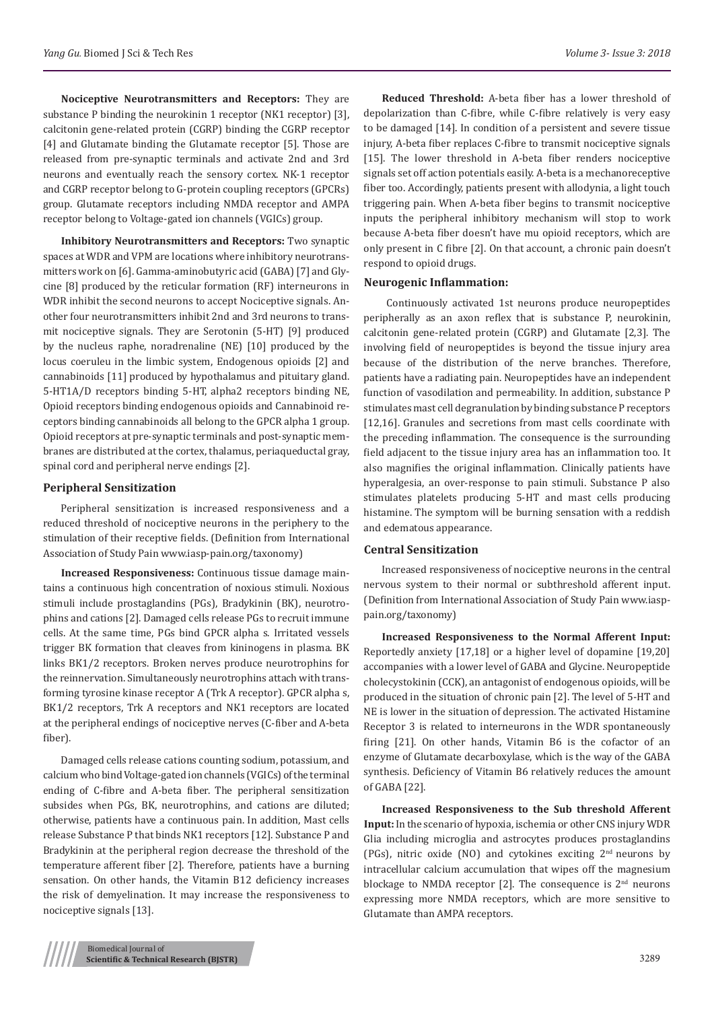**Nociceptive Neurotransmitters and Receptors:** They are substance P binding the neurokinin 1 receptor (NK1 receptor) [3], calcitonin gene-related protein (CGRP) binding the CGRP receptor [4] and Glutamate binding the Glutamate receptor [5]. Those are released from pre-synaptic terminals and activate 2nd and 3rd neurons and eventually reach the sensory cortex. NK-1 receptor and CGRP receptor belong to G-protein coupling receptors (GPCRs) group. Glutamate receptors including NMDA receptor and AMPA receptor belong to Voltage-gated ion channels (VGICs) group.

**Inhibitory Neurotransmitters and Receptors:** Two synaptic spaces at WDR and VPM are locations where inhibitory neurotransmitters work on [6]. Gamma-aminobutyric acid (GABA) [7] and Glycine [8] produced by the reticular formation (RF) interneurons in WDR inhibit the second neurons to accept Nociceptive signals. Another four neurotransmitters inhibit 2nd and 3rd neurons to transmit nociceptive signals. They are Serotonin (5-HT) [9] produced by the nucleus raphe, noradrenaline (NE) [10] produced by the locus coeruleu in the limbic system, Endogenous opioids [2] and cannabinoids [11] produced by hypothalamus and pituitary gland. 5-HT1A/D receptors binding 5-HT, alpha2 receptors binding NE, Opioid receptors binding endogenous opioids and Cannabinoid receptors binding cannabinoids all belong to the GPCR alpha 1 group. Opioid receptors at pre-synaptic terminals and post-synaptic membranes are distributed at the cortex, thalamus, periaqueductal gray, spinal cord and peripheral nerve endings [2].

#### **Peripheral Sensitization**

Peripheral sensitization is increased responsiveness and a reduced threshold of nociceptive neurons in the periphery to the stimulation of their receptive fields. (Definition from International Association of Study Pain www.iasp-pain.org/taxonomy)

**Increased Responsiveness:** Continuous tissue damage maintains a continuous high concentration of noxious stimuli. Noxious stimuli include prostaglandins (PGs), Bradykinin (BK), neurotrophins and cations [2]. Damaged cells release PGs to recruit immune cells. At the same time, PGs bind GPCR alpha s. Irritated vessels trigger BK formation that cleaves from kininogens in plasma. BK links BK1/2 receptors. Broken nerves produce neurotrophins for the reinnervation. Simultaneously neurotrophins attach with transforming tyrosine kinase receptor A (Trk A receptor). GPCR alpha s, BK1/2 receptors, Trk A receptors and NK1 receptors are located at the peripheral endings of nociceptive nerves (C-fiber and A-beta fiber).

Damaged cells release cations counting sodium, potassium, and calcium who bind Voltage-gated ion channels (VGICs) of the terminal ending of C-fibre and A-beta fiber. The peripheral sensitization subsides when PGs, BK, neurotrophins, and cations are diluted; otherwise, patients have a continuous pain. In addition, Mast cells release Substance P that binds NK1 receptors [12]. Substance P and Bradykinin at the peripheral region decrease the threshold of the temperature afferent fiber [2]. Therefore, patients have a burning sensation. On other hands, the Vitamin B12 deficiency increases the risk of demyelination. It may increase the responsiveness to nociceptive signals [13].

**Reduced Threshold:** A-beta fiber has a lower threshold of depolarization than C-fibre, while C-fibre relatively is very easy to be damaged [14]. In condition of a persistent and severe tissue injury, A-beta fiber replaces C-fibre to transmit nociceptive signals [15]. The lower threshold in A-beta fiber renders nociceptive signals set off action potentials easily. A-beta is a mechanoreceptive fiber too. Accordingly, patients present with allodynia, a light touch triggering pain. When A-beta fiber begins to transmit nociceptive inputs the peripheral inhibitory mechanism will stop to work because A-beta fiber doesn't have mu opioid receptors, which are only present in C fibre [2]. On that account, a chronic pain doesn't respond to opioid drugs.

## **Neurogenic Inflammation:**

 Continuously activated 1st neurons produce neuropeptides peripherally as an axon reflex that is substance P, neurokinin, calcitonin gene-related protein (CGRP) and Glutamate [2,3]. The involving field of neuropeptides is beyond the tissue injury area because of the distribution of the nerve branches. Therefore, patients have a radiating pain. Neuropeptides have an independent function of vasodilation and permeability. In addition, substance P stimulates mast cell degranulation by binding substance P receptors [12,16]. Granules and secretions from mast cells coordinate with the preceding inflammation. The consequence is the surrounding field adjacent to the tissue injury area has an inflammation too. It also magnifies the original inflammation. Clinically patients have hyperalgesia, an over-response to pain stimuli. Substance P also stimulates platelets producing 5-HT and mast cells producing histamine. The symptom will be burning sensation with a reddish and edematous appearance.

#### **Central Sensitization**

Increased responsiveness of nociceptive neurons in the central nervous system to their normal or subthreshold afferent input. (Definition from International Association of Study Pain www.iasppain.org/taxonomy)

**Increased Responsiveness to the Normal Afferent Input:** Reportedly anxiety [17,18] or a higher level of dopamine [19,20] accompanies with a lower level of GABA and Glycine. Neuropeptide cholecystokinin (CCK), an antagonist of endogenous opioids, will be produced in the situation of chronic pain [2]. The level of 5-HT and NE is lower in the situation of depression. The activated Histamine Receptor 3 is related to interneurons in the WDR spontaneously firing [21]. On other hands, Vitamin B6 is the cofactor of an enzyme of Glutamate decarboxylase, which is the way of the GABA synthesis. Deficiency of Vitamin B6 relatively reduces the amount of GABA [22].

**Increased Responsiveness to the Sub threshold Afferent Input:** In the scenario of hypoxia, ischemia or other CNS injury WDR Glia including microglia and astrocytes produces prostaglandins (PGs), nitric oxide (NO) and cytokines exciting 2nd neurons by intracellular calcium accumulation that wipes off the magnesium blockage to NMDA receptor [2]. The consequence is  $2<sup>nd</sup>$  neurons expressing more NMDA receptors, which are more sensitive to Glutamate than AMPA receptors.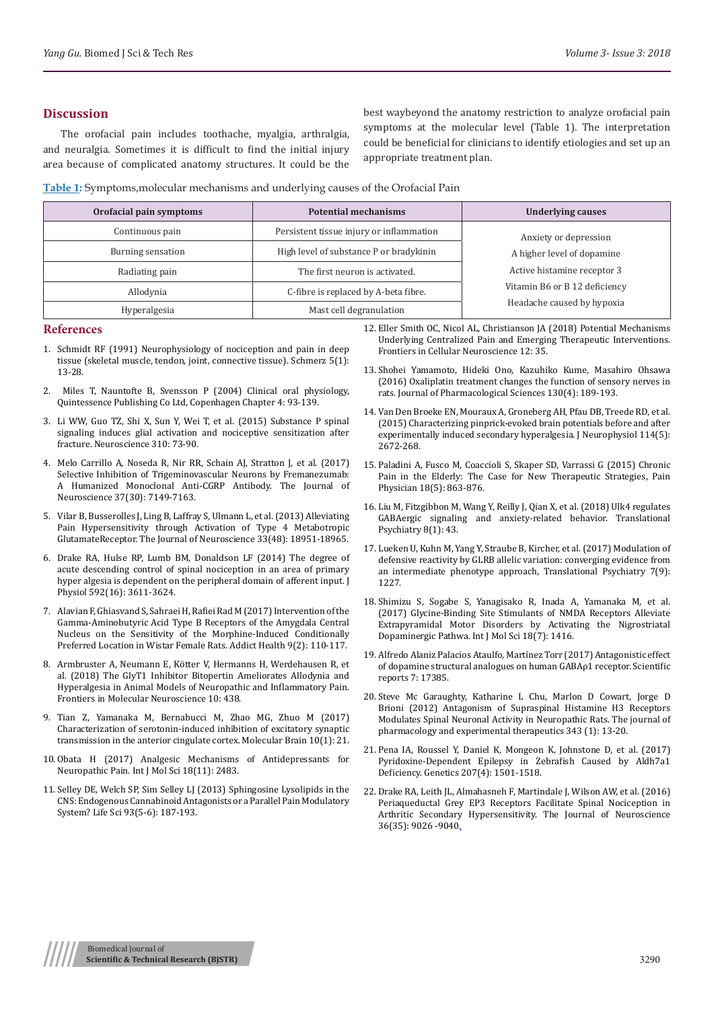#### **Discussion**

The orofacial pain includes toothache, myalgia, arthralgia, and neuralgia. Sometimes it is difficult to find the initial injury area because of complicated anatomy structures. It could be the best waybeyond the anatomy restriction to analyze orofacial pain symptoms at the molecular level (Table 1). The interpretation could be beneficial for clinicians to identify etiologies and set up an appropriate treatment plan.

**Table 1:** Symptoms,molecular mechanisms and underlying causes of the Orofacial Pain

| Orofacial pain symptoms | <b>Potential mechanisms</b>              | <b>Underlying causes</b>                                    |
|-------------------------|------------------------------------------|-------------------------------------------------------------|
| Continuous pain         | Persistent tissue injury or inflammation | Anxiety or depression<br>A higher level of dopamine         |
| Burning sensation       | High level of substance P or bradykinin  |                                                             |
| Radiating pain          | The first neuron is activated.           | Active histamine receptor 3                                 |
| Allodynia               | C-fibre is replaced by A-beta fibre.     | Vitamin B6 or B 12 deficiency<br>Headache caused by hypoxia |
| Hyperalgesia            | Mast cell degranulation                  |                                                             |

#### **References**

- 1. [Schmidt RF \(1991\) Neurophysiology of nociception and](https://www.ncbi.nlm.nih.gov/pubmed/18415163) pain in deep [tissue \(skeletal muscle, tendon, joint, connective tissue\). Schmerz 5\(1\):](https://www.ncbi.nlm.nih.gov/pubmed/18415163)  [13-28.](https://www.ncbi.nlm.nih.gov/pubmed/18415163)
- 2. [Miles T, Nauntofte B, Svensson P \(2004\) Clinical oral physiology,](https://www.nature.com/articles/4811577)  [Quintessence Publishing Co Ltd, Copenhagen Chapter 4: 93-139.](https://www.nature.com/articles/4811577)
- 3. [Li WW, Guo TZ, Shi X, Sun Y, Wei T, et al. \(2015\) Substance P spinal](https://www.ncbi.nlm.nih.gov/pubmed/26386297)  [signaling induces glial activation and nociceptive sensitization after](https://www.ncbi.nlm.nih.gov/pubmed/26386297)  [fracture. Neuroscience 310: 73-90.](https://www.ncbi.nlm.nih.gov/pubmed/26386297)
- 4. [Melo Carrillo A, Noseda R, Nir RR, Schain AJ, Stratton J, et al. \(2017\)](https://www.ncbi.nlm.nih.gov/pubmed/28642283)  [Selective Inhibition of Trigeminovascular Neurons by Fremanezumab:](https://www.ncbi.nlm.nih.gov/pubmed/28642283)  [A Humanized Monoclonal Anti-CGRP Antibody. The Journal of](https://www.ncbi.nlm.nih.gov/pubmed/28642283)  [Neuroscience 37\(30\): 7149-7163.](https://www.ncbi.nlm.nih.gov/pubmed/28642283)
- 5. [Vilar B, Busserolles J, Ling B, Laffray S, Ulmann L, et al. \(2013\) Alleviating](https://www.ncbi.nlm.nih.gov/pubmed/24285900)  [Pain Hypersensitivity through Activation of Type 4 Metabotropic](https://www.ncbi.nlm.nih.gov/pubmed/24285900)  [GlutamateReceptor. The Journal of Neuroscience 33\(48\): 18951-18965.](https://www.ncbi.nlm.nih.gov/pubmed/24285900)
- 6. [Drake RA, Hulse RP, Lumb BM, Donaldson LF \(2014\) The degree of](https://www.ncbi.nlm.nih.gov/pubmed/24879873/)  [acute descending control of spinal nociception in an area of primary](https://www.ncbi.nlm.nih.gov/pubmed/24879873/)  [hyper algesia is dependent on the peripheral domain of afferent input. J](https://www.ncbi.nlm.nih.gov/pubmed/24879873/)  [Physiol 592\(16\): 3611-3624.](https://www.ncbi.nlm.nih.gov/pubmed/24879873/)
- 7. [Alavian F, Ghiasvand S, Sahraei H, Rafiei Rad M \(2017\) Intervention of the](https://www.ncbi.nlm.nih.gov/pubmed/29299214)  [Gamma-Aminobutyric Acid Type B Receptors of the Amygdala Central](https://www.ncbi.nlm.nih.gov/pubmed/29299214)  [Nucleus on the Sensitivity of the Morphine-Induced Conditionally](https://www.ncbi.nlm.nih.gov/pubmed/29299214)  [Preferred Location in Wistar Female Rats. Addict Health 9\(2\): 110-117.](https://www.ncbi.nlm.nih.gov/pubmed/29299214)
- 8. [Armbruster A, Neumann E, Kötter V, Hermanns H, Werdehausen R, et](https://www.ncbi.nlm.nih.gov/pubmed/29375301)  [al. \(2018\) The GlyT1 Inhibitor Bitopertin Ameliorates Allodynia and](https://www.ncbi.nlm.nih.gov/pubmed/29375301)  [Hyperalgesia in Animal Models of Neuropathic and Inflammatory Pain.](https://www.ncbi.nlm.nih.gov/pubmed/29375301)  [Frontiers in Molecular Neuroscience 10: 438.](https://www.ncbi.nlm.nih.gov/pubmed/29375301)
- 9. [Tian Z, Yamanaka M, Bernabucci M, Zhao MG, Zhuo M \(2017\)](https://www.ncbi.nlm.nih.gov/pubmed/28606116/)  [Characterization of serotonin-induced inhibition of excitatory synaptic](https://www.ncbi.nlm.nih.gov/pubmed/28606116/)  [transmission in the anterior cingulate cortex. Molecular Brain 10\(1\): 21.](https://www.ncbi.nlm.nih.gov/pubmed/28606116/)
- 10. [Obata H \(2017\) Analgesic Mechanisms of Antidepressants for](https://www.ncbi.nlm.nih.gov/pubmed/29160850)  [Neuropathic Pain. Int J Mol Sci 18\(11\): 2483.](https://www.ncbi.nlm.nih.gov/pubmed/29160850)
- 11. [Selley DE, Welch SP, Sim Selley LJ \(2013\) Sphingosine Lysolipids in the](https://www.ncbi.nlm.nih.gov/pubmed/23782998)  [CNS: Endogenous Cannabinoid Antagonists or a Parallel Pain Modulatory](https://www.ncbi.nlm.nih.gov/pubmed/23782998)  [System? Life Sci 93\(5-6\): 187-193.](https://www.ncbi.nlm.nih.gov/pubmed/23782998)
- 12. [Eller Smith OC, Nicol AL, Christianson JA \(2018\) Potential Mechanisms](https://www.ncbi.nlm.nih.gov/pubmed/29487504) [Underlying Centralized Pain and Emerging Therapeutic Interventions.](https://www.ncbi.nlm.nih.gov/pubmed/29487504) [Frontiers in Cellular Neuroscience 12: 35.](https://www.ncbi.nlm.nih.gov/pubmed/29487504)
- 13. [Shohei Yamamoto, Hideki Ono, Kazuhiko Kume, Masahiro Ohsawa](https://www.sciencedirect.com/science/article/pii/S1347861315002443) [\(2016\) Oxaliplatin treatment changes the function of sensory nerves in](https://www.sciencedirect.com/science/article/pii/S1347861315002443) [rats. Journal of Pharmacological Sciences 130\(4\): 189-193.](https://www.sciencedirect.com/science/article/pii/S1347861315002443)
- 14. [Van Den Broeke EN, Mouraux A, Groneberg AH, Pfau DB, Treede RD, et al.](https://www.ncbi.nlm.nih.gov/pubmed/26334010) [\(2015\) Characterizing pinprick-evoked brain potentials before and after](https://www.ncbi.nlm.nih.gov/pubmed/26334010) [experimentally induced secondary hyperalgesia. J Neurophysiol 114\(5\):](https://www.ncbi.nlm.nih.gov/pubmed/26334010) [2672-268.](https://www.ncbi.nlm.nih.gov/pubmed/26334010)
- 15. [Paladini A, Fusco M, Coaccioli S, Skaper SD, Varrassi G \(2015\) Chronic](https://www.ncbi.nlm.nih.gov/pubmed/26431140) [Pain in the Elderly: The Case for New Therapeutic Strategies, Pain](https://www.ncbi.nlm.nih.gov/pubmed/26431140) [Physician 18\(5\): 863-876.](https://www.ncbi.nlm.nih.gov/pubmed/26431140)
- 16. [Liu M, Fitzgibbon M, Wang Y, Reilly J, Qian X, et al. \(2018\) Ulk4 regulates](https://www.ncbi.nlm.nih.gov/pubmed/29391390) [GABAergic signaling and anxiety-related behavior. Translational](https://www.ncbi.nlm.nih.gov/pubmed/29391390) [Psychiatry 8\(1\): 43.](https://www.ncbi.nlm.nih.gov/pubmed/29391390)
- 17. [Lueken U, Kuhn M, Yang Y, Straube B, Kircher, et al. \(2017\) Modulation of](https://www.ncbi.nlm.nih.gov/pubmed/28872638) [defensive reactivity by GLRB allelic variation: converging evidence from](https://www.ncbi.nlm.nih.gov/pubmed/28872638) [an intermediate phenotype approach, Translational Psychiatry 7\(9\):](https://www.ncbi.nlm.nih.gov/pubmed/28872638) [1227.](https://www.ncbi.nlm.nih.gov/pubmed/28872638)
- 18. [Shimizu S, Sogabe S, Yanagisako R, Inada A, Yamanaka M, et al.](https://www.ncbi.nlm.nih.gov/pubmed/28671605) [\(2017\) Glycine-Binding Site Stimulants of NMDA Receptors Alleviate](https://www.ncbi.nlm.nih.gov/pubmed/28671605) [Extrapyramidal Motor Disorders by Activating the Nigrostriatal](https://www.ncbi.nlm.nih.gov/pubmed/28671605) [Dopaminergic Pathwa. Int J Mol Sci 18\(7\): 1416.](https://www.ncbi.nlm.nih.gov/pubmed/28671605)
- 19. [Alfredo Alaniz Palacios Ataulfo, Martínez Torr \(2017\) Antagonistic effect](https://www.nature.com/articles/s41598-017-17530-8) [of dopamine structural analogues on human GABAρ1 receptor. Scientific](https://www.nature.com/articles/s41598-017-17530-8) [reports 7: 17385.](https://www.nature.com/articles/s41598-017-17530-8)
- 20. [Steve Mc Garaughty, Katharine L Chu, Marlon D Cowart, Jorge D](http://jpet.aspetjournals.org/content/343/1/13) [Brioni \(2012\) Antagonism of Supraspinal Histamine H3 Receptors](http://jpet.aspetjournals.org/content/343/1/13) [Modulates Spinal Neuronal Activity in Neuropathic Rats. The journal of](http://jpet.aspetjournals.org/content/343/1/13) [pharmacology and experimental therapeutics 343 \(1\): 13-20.](http://jpet.aspetjournals.org/content/343/1/13)
- 21. [Pena IA, Roussel Y, Daniel K, Mongeon K, Johnstone D, et al. \(2017\)](https://www.ncbi.nlm.nih.gov/pubmed/29061647) [Pyridoxine-Dependent Epilepsy in Zebrafish Caused by Aldh7a1](https://www.ncbi.nlm.nih.gov/pubmed/29061647) [Deficiency. Genetics 207\(4\): 1501-1518.](https://www.ncbi.nlm.nih.gov/pubmed/29061647)
- 22. [Drake RA, Leith JL, Almahasneh F, Martindale J, Wilson AW, et al. \(2016\)](https://www.ncbi.nlm.nih.gov/pubmed/27581447) [Periaqueductal Grey EP3 Receptors Facilitate Spinal Nociception in](https://www.ncbi.nlm.nih.gov/pubmed/27581447) [Arthritic Secondary Hypersensitivity. The Journal of Neuroscience](https://www.ncbi.nlm.nih.gov/pubmed/27581447) [36\(35\): 9026 -9040.](https://www.ncbi.nlm.nih.gov/pubmed/27581447)